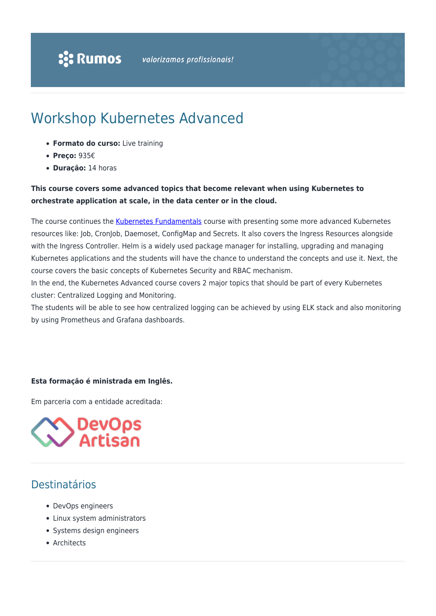# Workshop Kubernetes Advanced

- **Formato do curso:** Live training
- **Preço:** 935€
- **Duração:** 14 horas

### **This course covers some advanced topics that become relevant when using Kubernetes to orchestrate application at scale, in the data center or in the cloud.**

The course continues the [Kubernetes Fundamentals](https://www.rumos.pt/curso/workshop-kubernetes-fundamentals-live-training/) course with presenting some more advanced Kubernetes resources like: Job, CronJob, Daemoset, ConfigMap and Secrets. It also covers the Ingress Resources alongside with the Ingress Controller. Helm is a widely used package manager for installing, upgrading and managing Kubernetes applications and the students will have the chance to understand the concepts and use it. Next, the course covers the basic concepts of Kubernetes Security and RBAC mechanism.

In the end, the Kubernetes Advanced course covers 2 major topics that should be part of every Kubernetes cluster: Centralized Logging and Monitoring.

The students will be able to see how centralized logging can be achieved by using ELK stack and also monitoring by using Prometheus and Grafana dashboards.

#### **Esta formação é ministrada em Inglês.**

Em parceria com a entidade acreditada:



## Destinatários

- DevOps engineers
- Linux system administrators
- Systems design engineers
- Architects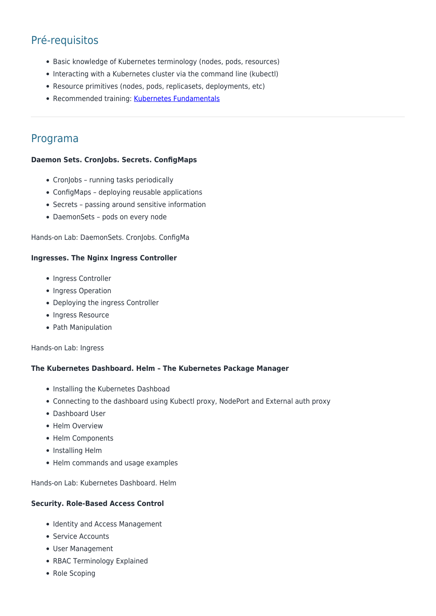# Pré-requisitos

- Basic knowledge of Kubernetes terminology (nodes, pods, resources)
- Interacting with a Kubernetes cluster via the command line (kubectl)
- Resource primitives (nodes, pods, replicasets, deployments, etc)
- Recommended training: [Kubernetes Fundamentals](https://www.rumos.pt/curso/workshop-kubernetes-fundamentals-live-training/)

### Programa

#### **Daemon Sets. CronJobs. Secrets. ConfigMaps**

- CronJobs running tasks periodically
- ConfigMaps deploying reusable applications
- Secrets passing around sensitive information
- DaemonSets pods on every node

Hands-on Lab: DaemonSets. CronJobs. ConfigMa

#### **Ingresses. The Nginx Ingress Controller**

- Ingress Controller
- Ingress Operation
- Deploying the ingress Controller
- Ingress Resource
- Path Manipulation

Hands-on Lab: Ingress

#### **The Kubernetes Dashboard. Helm – The Kubernetes Package Manager**

- Installing the Kubernetes Dashboad
- Connecting to the dashboard using Kubectl proxy, NodePort and External auth proxy
- Dashboard User
- Helm Overview
- Helm Components
- Installing Helm
- Helm commands and usage examples

Hands-on Lab: Kubernetes Dashboard. Helm

#### **Security. Role-Based Access Control**

- Identity and Access Management
- Service Accounts
- User Management
- RBAC Terminology Explained
- Role Scoping